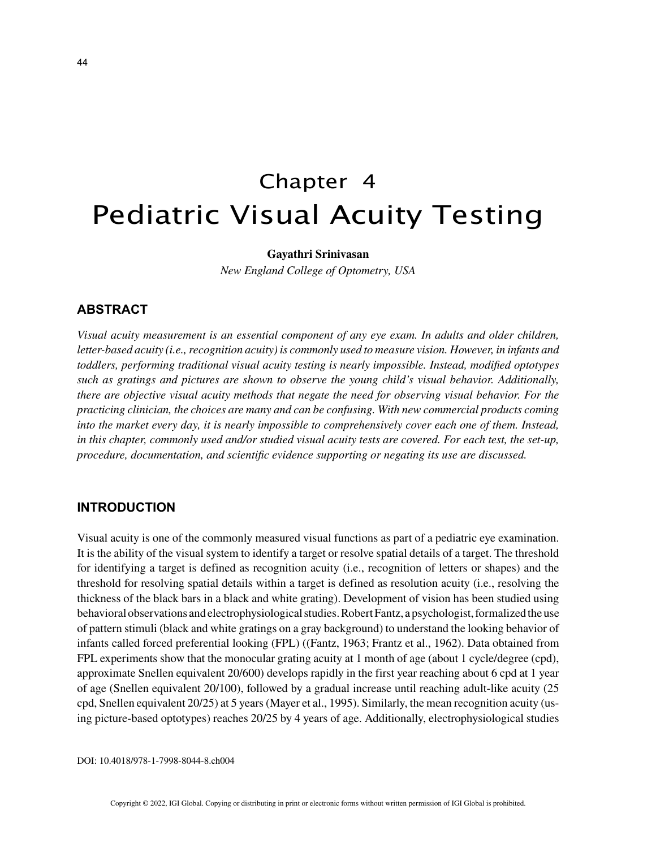# Chapter 4 Pediatric Visual Acuity Testing

## **Gayathri Srinivasan**

*New England College of Optometry, USA*

## **ABSTRACT**

*Visual acuity measurement is an essential component of any eye exam. In adults and older children, letter-based acuity (i.e., recognition acuity) is commonly used to measure vision. However, in infants and toddlers, performing traditional visual acuity testing is nearly impossible. Instead, modified optotypes such as gratings and pictures are shown to observe the young child's visual behavior. Additionally, there are objective visual acuity methods that negate the need for observing visual behavior. For the practicing clinician, the choices are many and can be confusing. With new commercial products coming into the market every day, it is nearly impossible to comprehensively cover each one of them. Instead, in this chapter, commonly used and/or studied visual acuity tests are covered. For each test, the set-up, procedure, documentation, and scientific evidence supporting or negating its use are discussed.*

## **INTRODUCTION**

Visual acuity is one of the commonly measured visual functions as part of a pediatric eye examination. It is the ability of the visual system to identify a target or resolve spatial details of a target. The threshold for identifying a target is defined as recognition acuity (i.e., recognition of letters or shapes) and the threshold for resolving spatial details within a target is defined as resolution acuity (i.e., resolving the thickness of the black bars in a black and white grating). Development of vision has been studied using behavioral observations and electrophysiological studies. Robert Fantz, a psychologist, formalized the use of pattern stimuli (black and white gratings on a gray background) to understand the looking behavior of infants called forced preferential looking (FPL) ((Fantz, 1963; Frantz et al., 1962). Data obtained from FPL experiments show that the monocular grating acuity at 1 month of age (about 1 cycle/degree (cpd), approximate Snellen equivalent 20/600) develops rapidly in the first year reaching about 6 cpd at 1 year of age (Snellen equivalent 20/100), followed by a gradual increase until reaching adult-like acuity (25 cpd, Snellen equivalent 20/25) at 5 years (Mayer et al., 1995). Similarly, the mean recognition acuity (using picture-based optotypes) reaches 20/25 by 4 years of age. Additionally, electrophysiological studies

DOI: 10.4018/978-1-7998-8044-8.ch004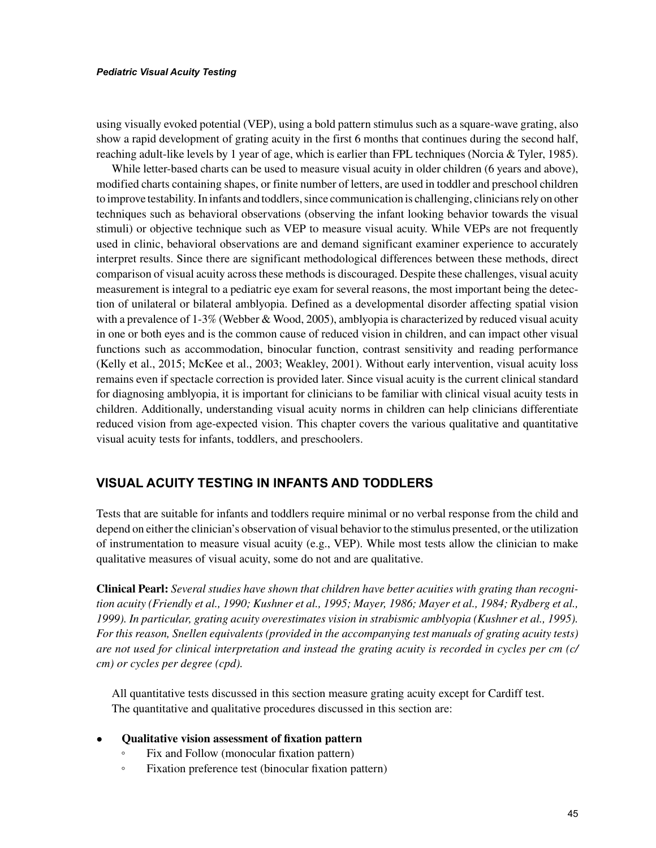#### *Pediatric Visual Acuity Testing*

using visually evoked potential (VEP), using a bold pattern stimulus such as a square-wave grating, also show a rapid development of grating acuity in the first 6 months that continues during the second half, reaching adult-like levels by 1 year of age, which is earlier than FPL techniques (Norcia & Tyler, 1985).

While letter-based charts can be used to measure visual acuity in older children (6 years and above), modified charts containing shapes, or finite number of letters, are used in toddler and preschool children to improve testability. In infants and toddlers, since communication is challenging, clinicians rely on other techniques such as behavioral observations (observing the infant looking behavior towards the visual stimuli) or objective technique such as VEP to measure visual acuity. While VEPs are not frequently used in clinic, behavioral observations are and demand significant examiner experience to accurately interpret results. Since there are significant methodological differences between these methods, direct comparison of visual acuity across these methods is discouraged. Despite these challenges, visual acuity measurement is integral to a pediatric eye exam for several reasons, the most important being the detection of unilateral or bilateral amblyopia. Defined as a developmental disorder affecting spatial vision with a prevalence of 1-3% (Webber & Wood, 2005), amblyopia is characterized by reduced visual acuity in one or both eyes and is the common cause of reduced vision in children, and can impact other visual functions such as accommodation, binocular function, contrast sensitivity and reading performance (Kelly et al., 2015; McKee et al., 2003; Weakley, 2001). Without early intervention, visual acuity loss remains even if spectacle correction is provided later. Since visual acuity is the current clinical standard for diagnosing amblyopia, it is important for clinicians to be familiar with clinical visual acuity tests in children. Additionally, understanding visual acuity norms in children can help clinicians differentiate reduced vision from age-expected vision. This chapter covers the various qualitative and quantitative visual acuity tests for infants, toddlers, and preschoolers.

# **VISUAL ACUITY TESTING IN INFANTS AND TODDLERS**

Tests that are suitable for infants and toddlers require minimal or no verbal response from the child and depend on either the clinician's observation of visual behavior to the stimulus presented, or the utilization of instrumentation to measure visual acuity (e.g., VEP). While most tests allow the clinician to make qualitative measures of visual acuity, some do not and are qualitative.

**Clinical Pearl:** *Several studies have shown that children have better acuities with grating than recognition acuity (Friendly et al., 1990; Kushner et al., 1995; Mayer, 1986; Mayer et al., 1984; Rydberg et al., 1999). In particular, grating acuity overestimates vision in strabismic amblyopia (Kushner et al., 1995). For this reason, Snellen equivalents (provided in the accompanying test manuals of grating acuity tests) are not used for clinical interpretation and instead the grating acuity is recorded in cycles per cm (c/ cm) or cycles per degree (cpd).*

All quantitative tests discussed in this section measure grating acuity except for Cardiff test. The quantitative and qualitative procedures discussed in this section are:

- **Qualitative vision assessment of fixation pattern**
	- Fix and Follow (monocular fixation pattern)
	- Fixation preference test (binocular fixation pattern)